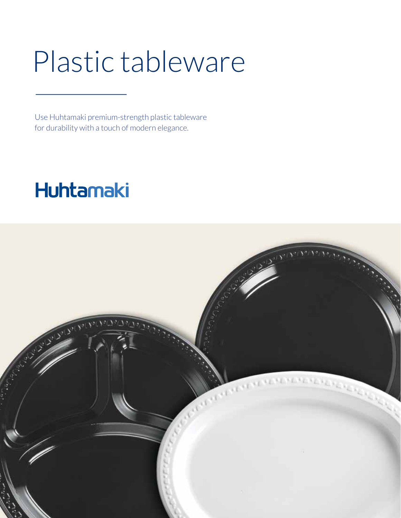## Plastic tableware

Use Huhtamaki premium-strength plastic tableware for durability with a touch of modern elegance.

## Huhtamaki